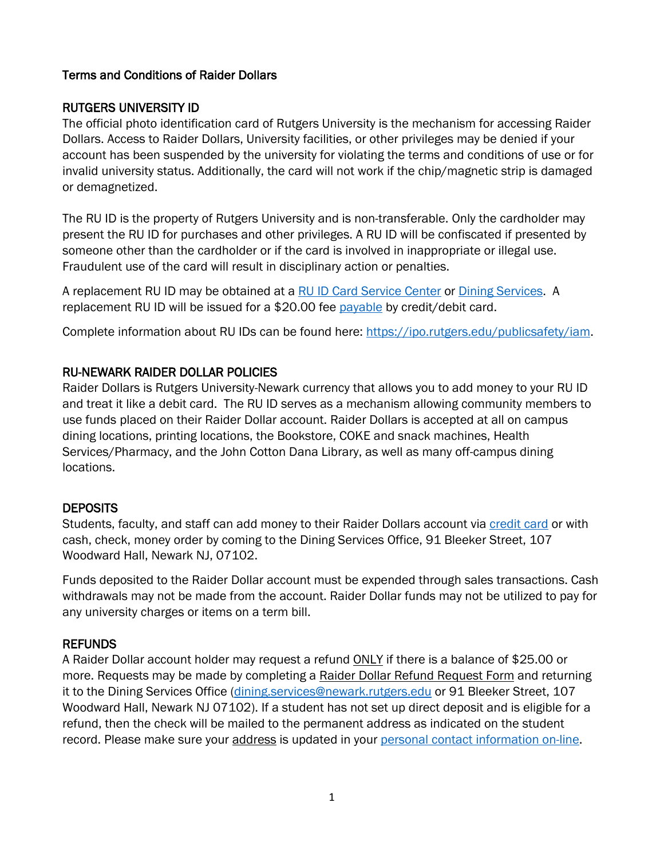## Terms and Conditions of Raider Dollars

# RUTGERS UNIVERSITY ID

The official photo identification card of Rutgers University is the mechanism for accessing Raider Dollars. Access to Raider Dollars, University facilities, or other privileges may be denied if your account has been suspended by the university for violating the terms and conditions of use or for invalid university status. Additionally, the card will not work if the chip/magnetic strip is damaged or demagnetized.

The RU ID is the property of Rutgers University and is non-transferable. Only the cardholder may present the RU ID for purchases and other privileges. A RU ID will be confiscated if presented by someone other than the cardholder or if the card is involved in inappropriate or illegal use. Fraudulent use of the card will result in disciplinary action or penalties.

A replacement RU ID may be obtained at a [RU ID Card Service Center](https://myrun.newark.rutgers.edu/ru-id-card-service-center-newark) or [Dining Services.](https://myrun.newark.rutgers.edu/dining-services) A replacement RU ID will be issued for a \$20.00 fee [payable](https://quikpayasp.com/rutgers/qp/epay/index.do?dm=commerce_manager_payer) by credit/debit card.

Complete information about RU IDs can be found here:<https://ipo.rutgers.edu/publicsafety/iam.>

# RU-NEWARK RAIDER DOLLAR POLICIES

Raider Dollars is Rutgers University-Newark currency that allows you to add money to your RU ID and treat it like a debit card. The RU ID serves as a mechanism allowing community members to use funds placed on their Raider Dollar account. Raider Dollars is accepted at all on campus dining locations, printing locations, the Bookstore, COKE and snack machines, Health Services/Pharmacy, and the John Cotton Dana Library, as well as many off-campus dining locations.

## **DEPOSITS**

Students, faculty, and staff can add money to their Raider Dollars account via [credit card](https://eacct-runc-sp.transactcampus.com/webdeposits/AnonymousHome.aspx) or with cash, check, money order by coming to the Dining Services Office, 91 Bleeker Street, 107 Woodward Hall, Newark NJ, 07102.

Funds deposited to the Raider Dollar account must be expended through sales transactions. Cash withdrawals may not be made from the account. Raider Dollar funds may not be utilized to pay for any university charges or items on a term bill.

## REFUNDS

A Raider Dollar account holder may request a refund ONLY if there is a balance of \$25.00 or more. Requests may be made by completing a [Raider Dollar Refund Request Form](https://myrun.newark.rutgers.edu/sites/default/files/raider_card_refund_form_0.pdf) and returning it to the Dining Services Office [\(dining.services@newark.rutgers.edu](mailto:dining.services@newark.rutgers.edu) or 91 Bleeker Street, 107 Woodward Hall, Newark NJ 07102). If a student has not set up direct deposit and is eligible for a refund, then the check will be mailed to the permanent address as indicated on the student record. Please make sure your address is updated in your [personal contact information on-line.](https://cas.rutgers.edu/login?service=https%3A%2F%2Fpersonalinfo.rutgers.edu%2Fpi%2Fj_spring_cas_security_check)